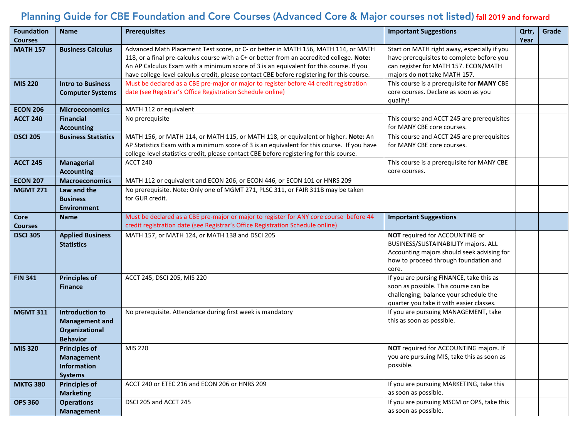# Planning Guide for CBE Foundation and Core Courses (Advanced Core & Major courses not listed) fall 2019 and forward

| <b>Foundation</b><br><b>Courses</b> | <b>Name</b>                            | <b>Prerequisites</b>                                                                                                                                                                  | <b>Important Suggestions</b>                      | Qrtr,<br>Year | Grade |
|-------------------------------------|----------------------------------------|---------------------------------------------------------------------------------------------------------------------------------------------------------------------------------------|---------------------------------------------------|---------------|-------|
| <b>MATH 157</b>                     | <b>Business Calculus</b>               | Advanced Math Placement Test score, or C- or better in MATH 156, MATH 114, or MATH                                                                                                    | Start on MATH right away, especially if you       |               |       |
|                                     |                                        | 118, or a final pre-calculus course with a C+ or better from an accredited college. Note:                                                                                             | have prerequisites to complete before you         |               |       |
|                                     |                                        | An AP Calculus Exam with a minimum score of 3 is an equivalent for this course. If you                                                                                                | can register for MATH 157. ECON/MATH              |               |       |
|                                     |                                        | have college-level calculus credit, please contact CBE before registering for this course.                                                                                            | majors do not take MATH 157.                      |               |       |
| <b>MIS 220</b>                      | <b>Intro to Business</b>               | Must be declared as a CBE pre-major or major to register before 44 credit registration                                                                                                | This course is a prerequisite for MANY CBE        |               |       |
|                                     | <b>Computer Systems</b>                | date (see Registrar's Office Registration Schedule online)                                                                                                                            | core courses. Declare as soon as you<br>qualify!  |               |       |
| <b>ECON 206</b>                     | <b>Microeconomics</b>                  | MATH 112 or equivalent                                                                                                                                                                |                                                   |               |       |
| <b>ACCT 240</b>                     | <b>Financial</b>                       | No prerequisite                                                                                                                                                                       | This course and ACCT 245 are prerequisites        |               |       |
|                                     | <b>Accounting</b>                      |                                                                                                                                                                                       | for MANY CBE core courses.                        |               |       |
| <b>DSCI 205</b>                     | <b>Business Statistics</b>             | MATH 156, or MATH 114, or MATH 115, or MATH 118, or equivalent or higher. Note: An                                                                                                    | This course and ACCT 245 are prerequisites        |               |       |
|                                     |                                        | AP Statistics Exam with a minimum score of 3 is an equivalent for this course. If you have<br>college-level statistics credit, please contact CBE before registering for this course. | for MANY CBE core courses.                        |               |       |
| <b>ACCT 245</b>                     | <b>Managerial</b>                      | <b>ACCT 240</b>                                                                                                                                                                       | This course is a prerequisite for MANY CBE        |               |       |
|                                     | <b>Accounting</b>                      |                                                                                                                                                                                       | core courses.                                     |               |       |
| <b>ECON 207</b>                     | <b>Macroeconomics</b>                  | MATH 112 or equivalent and ECON 206, or ECON 446, or ECON 101 or HNRS 209                                                                                                             |                                                   |               |       |
| <b>MGMT 271</b>                     | Law and the                            | No prerequisite. Note: Only one of MGMT 271, PLSC 311, or FAIR 311B may be taken                                                                                                      |                                                   |               |       |
|                                     | <b>Business</b>                        | for GUR credit.                                                                                                                                                                       |                                                   |               |       |
|                                     | <b>Environment</b>                     |                                                                                                                                                                                       |                                                   |               |       |
| <b>Core</b>                         | <b>Name</b>                            | Must be declared as a CBE pre-major or major to register for ANY core course before 44                                                                                                | <b>Important Suggestions</b>                      |               |       |
| Courses                             |                                        | credit registration date (see Registrar's Office Registration Schedule online)                                                                                                        |                                                   |               |       |
| <b>DSCI 305</b>                     | <b>Applied Business</b>                | MATH 157, or MATH 124, or MATH 138 and DSCI 205                                                                                                                                       | NOT required for ACCOUNTING or                    |               |       |
|                                     | <b>Statistics</b>                      |                                                                                                                                                                                       | BUSINESS/SUSTAINABILITY majors. ALL               |               |       |
|                                     |                                        |                                                                                                                                                                                       | Accounting majors should seek advising for        |               |       |
|                                     |                                        |                                                                                                                                                                                       | how to proceed through foundation and             |               |       |
| <b>FIN 341</b>                      |                                        | ACCT 245, DSCI 205, MIS 220                                                                                                                                                           | core.<br>If you are pursing FINANCE, take this as |               |       |
|                                     | <b>Principles of</b><br><b>Finance</b> |                                                                                                                                                                                       | soon as possible. This course can be              |               |       |
|                                     |                                        |                                                                                                                                                                                       | challenging; balance your schedule the            |               |       |
|                                     |                                        |                                                                                                                                                                                       | quarter you take it with easier classes.          |               |       |
| <b>MGMT 311</b>                     | <b>Introduction to</b>                 | No prerequisite. Attendance during first week is mandatory                                                                                                                            | If you are pursuing MANAGEMENT, take              |               |       |
|                                     | <b>Management and</b>                  |                                                                                                                                                                                       | this as soon as possible.                         |               |       |
|                                     | Organizational                         |                                                                                                                                                                                       |                                                   |               |       |
|                                     | <b>Behavior</b>                        |                                                                                                                                                                                       |                                                   |               |       |
| <b>MIS 320</b>                      | <b>Principles of</b>                   | MIS 220                                                                                                                                                                               | NOT required for ACCOUNTING majors. If            |               |       |
|                                     | <b>Management</b>                      |                                                                                                                                                                                       | you are pursuing MIS, take this as soon as        |               |       |
|                                     | <b>Information</b>                     |                                                                                                                                                                                       | possible.                                         |               |       |
|                                     | <b>Systems</b>                         |                                                                                                                                                                                       |                                                   |               |       |
| <b>MKTG 380</b>                     | <b>Principles of</b>                   | ACCT 240 or ETEC 216 and ECON 206 or HNRS 209                                                                                                                                         | If you are pursuing MARKETING, take this          |               |       |
|                                     | <b>Marketing</b>                       |                                                                                                                                                                                       | as soon as possible.                              |               |       |
| <b>OPS 360</b>                      | <b>Operations</b>                      | DSCI 205 and ACCT 245                                                                                                                                                                 | If you are pursuing MSCM or OPS, take this        |               |       |
|                                     | <b>Management</b>                      |                                                                                                                                                                                       | as soon as possible.                              |               |       |